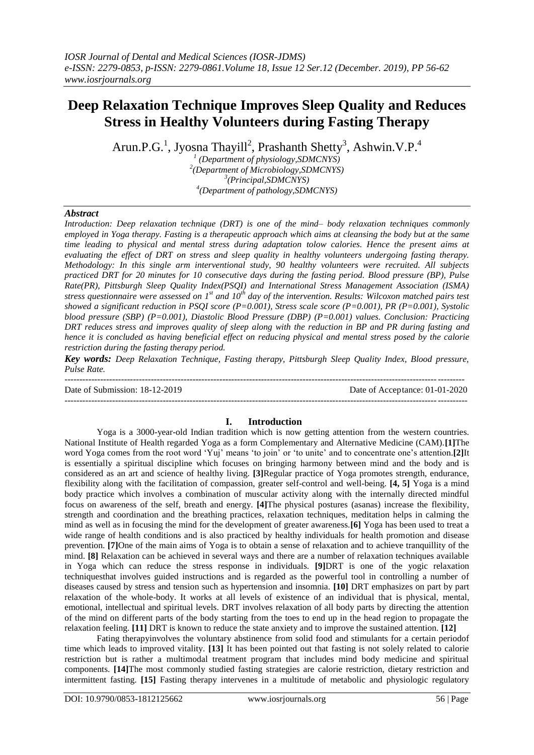# **Deep Relaxation Technique Improves Sleep Quality and Reduces Stress in Healthy Volunteers during Fasting Therapy**

Arun.P.G.<sup>1</sup>, Jyosna Thayill<sup>2</sup>, Prashanth Shetty<sup>3</sup>, Ashwin.V.P.<sup>4</sup>

 *(Department of physiology,SDMCNYS) (Department of Microbiology,SDMCNYS) (Principal,SDMCNYS) (Department of pathology,SDMCNYS)* 

# *Abstract*

*Introduction: Deep relaxation technique (DRT) is one of the mind– body relaxation techniques commonly employed in Yoga therapy. Fasting is a therapeutic approach which aims at cleansing the body but at the same time leading to physical and mental stress during adaptation tolow calories. Hence the present aims at evaluating the effect of DRT on stress and sleep quality in healthy volunteers undergoing fasting therapy. Methodology: In this single arm interventional study, 90 healthy volunteers were recruited. All subjects practiced DRT for 20 minutes for 10 consecutive days during the fasting period. Blood pressure (BP), Pulse Rate(PR), Pittsburgh Sleep Quality Index(PSQI) and International Stress Management Association (ISMA) stress questionnaire were assessed on 1st and 10th day of the intervention. Results: Wilcoxon matched pairs test showed a significant reduction in PSQI score (P=0.001), Stress scale score (P=0.001), PR (P=0.001), Systolic blood pressure (SBP) (P=0.001), Diastolic Blood Pressure (DBP) (P=0.001) values. Conclusion: Practicing DRT reduces stress and improves quality of sleep along with the reduction in BP and PR during fasting and hence it is concluded as having beneficial effect on reducing physical and mental stress posed by the calorie restriction during the fasting therapy period.* 

*Key words: Deep Relaxation Technique, Fasting therapy, Pittsburgh Sleep Quality Index, Blood pressure, Pulse Rate.*

-------------------------------------------------------------------------------------------------------------------------------------- Date of Submission: 18-12-2019 Date of Acceptance: 01-01-2020 ---------------------------------------------------------------------------------------------------------------------------------------

# **I. Introduction**

Yoga is a 3000-year-old Indian tradition which is now getting attention from the western countries. National Institute of Health regarded Yoga as a form Complementary and Alternative Medicine (CAM).**[1]**The word Yoga comes from the root word 'Yuj' means 'to join' or 'to unite' and to concentrate one's attention.**[2]**It is essentially a spiritual discipline which focuses on bringing harmony between mind and the body and is considered as an art and science of healthy living. **[3]**Regular practice of Yoga promotes strength, endurance, flexibility along with the facilitation of compassion, greater self-control and well-being. **[4, 5]** Yoga is a mind body practice which involves a combination of muscular activity along with the internally directed mindful focus on awareness of the self, breath and energy. **[4]**The physical postures (asanas) increase the flexibility, strength and coordination and the breathing practices, relaxation techniques, meditation helps in calming the mind as well as in focusing the mind for the development of greater awareness.**[6]** Yoga has been used to treat a wide range of health conditions and is also practiced by healthy individuals for health promotion and disease prevention. **[7]**One of the main aims of Yoga is to obtain a sense of relaxation and to achieve tranquillity of the mind. **[8]** Relaxation can be achieved in several ways and there are a number of relaxation techniques available in Yoga which can reduce the stress response in individuals. **[9]**DRT is one of the yogic relaxation techniquesthat involves guided instructions and is regarded as the powerful tool in controlling a number of diseases caused by stress and tension such as hypertension and insomnia. **[10]** DRT emphasizes on part by part relaxation of the whole-body. It works at all levels of existence of an individual that is physical, mental, emotional, intellectual and spiritual levels. DRT involves relaxation of all body parts by directing the attention of the mind on different parts of the body starting from the toes to end up in the head region to propagate the relaxation feeling. **[11]** DRT is known to reduce the state anxiety and to improve the sustained attention. **[12]** 

Fating therapyinvolves the voluntary abstinence from solid food and stimulants for a certain periodof time which leads to improved vitality. **[13]** It has been pointed out that fasting is not solely related to calorie restriction but is rather a multimodal treatment program that includes mind body medicine and spiritual components. **[14]**The most commonly studied fasting strategies are calorie restriction, dietary restriction and intermittent fasting. **[15]** Fasting therapy intervenes in a multitude of metabolic and physiologic regulatory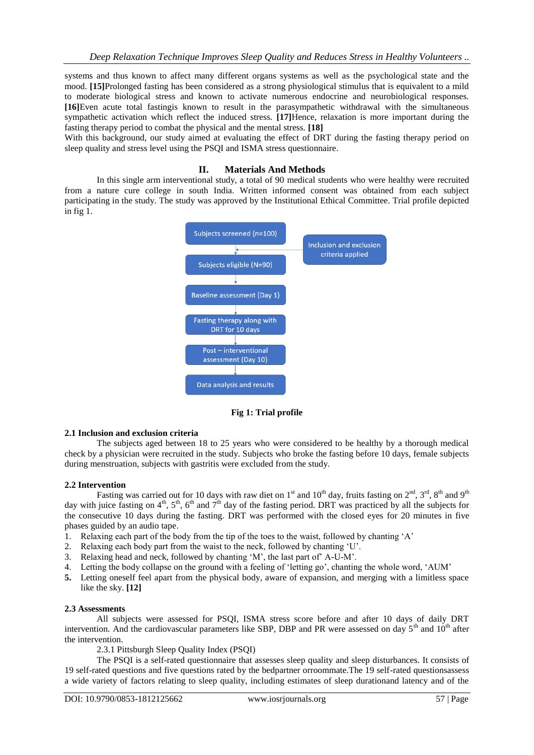systems and thus known to affect many different organs systems as well as the psychological state and the mood. **[15]**Prolonged fasting has been considered as a strong physiological stimulus that is equivalent to a mild to moderate biological stress and known to activate numerous endocrine and neurobiological responses. **[16]**Even acute total fastingis known to result in the parasympathetic withdrawal with the simultaneous sympathetic activation which reflect the induced stress. **[17]**Hence, relaxation is more important during the fasting therapy period to combat the physical and the mental stress. **[18]**

With this background, our study aimed at evaluating the effect of DRT during the fasting therapy period on sleep quality and stress level using the PSQI and ISMA stress questionnaire.

#### **II. Materials And Methods**

In this single arm interventional study, a total of 90 medical students who were healthy were recruited from a nature cure college in south India. Written informed consent was obtained from each subject participating in the study. The study was approved by the Institutional Ethical Committee. Trial profile depicted in fig 1.



**Fig 1: Trial profile**

### **2.1 Inclusion and exclusion criteria**

The subjects aged between 18 to 25 years who were considered to be healthy by a thorough medical check by a physician were recruited in the study. Subjects who broke the fasting before 10 days, female subjects during menstruation, subjects with gastritis were excluded from the study.

### **2.2 Intervention**

Fasting was carried out for 10 days with raw diet on 1<sup>st</sup> and 10<sup>th</sup> day, fruits fasting on  $2^{nd}$ ,  $3^{rd}$ ,  $8^{th}$  and  $9^{th}$ day with juice fasting on  $4<sup>th</sup>$ ,  $5<sup>th</sup>$ ,  $6<sup>th</sup>$  and  $7<sup>th</sup>$  day of the fasting period. DRT was practiced by all the subjects for the consecutive 10 days during the fasting. DRT was performed with the closed eyes for 20 minutes in five phases guided by an audio tape.

- 1. Relaxing each part of the body from the tip of the toes to the waist, followed by chanting 'A'
- 2. Relaxing each body part from the waist to the neck, followed by chanting 'U'.
- 3. Relaxing head and neck, followed by chanting 'M', the last part of' A-U-M'.
- 4. Letting the body collapse on the ground with a feeling of 'letting go', chanting the whole word, 'AUM'
- **5.** Letting oneself feel apart from the physical body, aware of expansion, and merging with a limitless space like the sky. **[12]**

#### **2.3 Assessments**

All subjects were assessed for PSQI, ISMA stress score before and after 10 days of daily DRT intervention. And the cardiovascular parameters like SBP, DBP and PR were assessed on day  $5<sup>th</sup>$  and  $10<sup>th</sup>$  after the intervention.

2.3.1 Pittsburgh Sleep Quality Index (PSQI)

The PSQI is a self-rated questionnaire that assesses sleep quality and sleep disturbances. It consists of 19 self-rated questions and five questions rated by the bedpartner orroommate.The 19 self-rated questionsassess a wide variety of factors relating to sleep quality, including estimates of sleep durationand latency and of the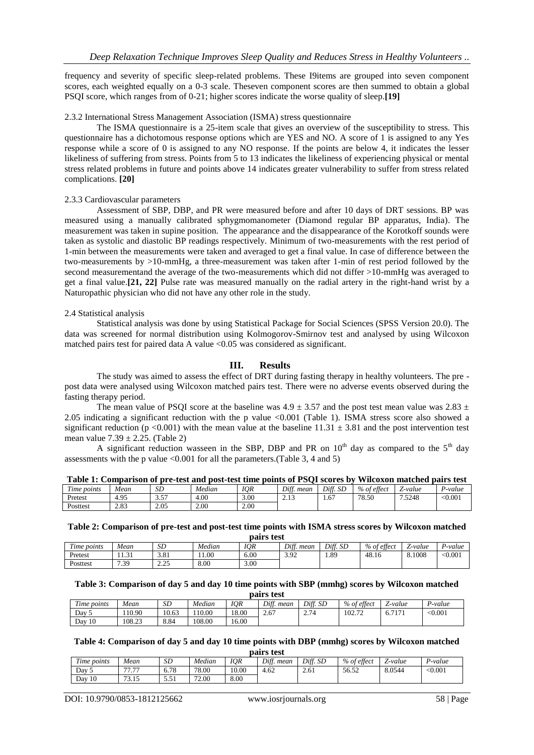frequency and severity of specific sleep-related problems. These I9items are grouped into seven component scores, each weighted equally on a 0-3 scale. Theseven component scores are then summed to obtain a global PSQI score, which ranges from of 0-21; higher scores indicate the worse quality of sleep.**[19]** 

#### 2.3.2 International Stress Management Association (ISMA) stress questionnaire

The ISMA questionnaire is a 25-item scale that gives an overview of the susceptibility to stress. This questionnaire has a dichotomous response options which are YES and NO. A score of 1 is assigned to any Yes response while a score of 0 is assigned to any NO response. If the points are below 4, it indicates the lesser likeliness of suffering from stress. Points from 5 to 13 indicates the likeliness of experiencing physical or mental stress related problems in future and points above 14 indicates greater vulnerability to suffer from stress related complications. **[20]**

#### 2.3.3 Cardiovascular parameters

Assessment of SBP, DBP, and PR were measured before and after 10 days of DRT sessions. BP was measured using a manually calibrated sphygmomanometer (Diamond regular BP apparatus, India). The measurement was taken in supine position. The appearance and the disappearance of the Korotkoff sounds were taken as systolic and diastolic BP readings respectively. Minimum of two-measurements with the rest period of 1-min between the measurements were taken and averaged to get a final value. In case of difference between the two-measurements by >10-mmHg, a three-measurement was taken after 1-min of rest period followed by the second measurementand the average of the two-measurements which did not differ >10-mmHg was averaged to get a final value.**[21, 22]** Pulse rate was measured manually on the radial artery in the right-hand wrist by a Naturopathic physician who did not have any other role in the study.

### 2.4 Statistical analysis

Statistical analysis was done by using Statistical Package for Social Sciences (SPSS Version 20.0). The data was screened for normal distribution using Kolmogorov-Smirnov test and analysed by using Wilcoxon matched pairs test for paired data A value <0.05 was considered as significant.

## **III. Results**

The study was aimed to assess the effect of DRT during fasting therapy in healthy volunteers. The pre post data were analysed using Wilcoxon matched pairs test. There were no adverse events observed during the fasting therapy period.

The mean value of PSQI score at the baseline was  $4.9 \pm 3.57$  and the post test mean value was  $2.83 \pm 1.57$ 2.05 indicating a significant reduction with the p value <0.001 (Table 1). ISMA stress score also showed a significant reduction (p <0.001) with the mean value at the baseline  $11.31 \pm 3.81$  and the post intervention test mean value  $7.39 + 2.25$ . (Table 2)

A significant reduction wasseen in the SBP, DBP and PR on  $10<sup>th</sup>$  day as compared to the  $5<sup>th</sup>$  day assessments with the p value  $\leq 0.001$  for all the parameters. (Table 3, 4 and 5)

|                       |      |      | Tavit 1. Combarison or bre-test and bost-test thire bonnes or FOOT seores by Wheozon matched ban's test |      |                 |          |             |         |         |
|-----------------------|------|------|---------------------------------------------------------------------------------------------------------|------|-----------------|----------|-------------|---------|---------|
| $\sim$<br>Time points | Mean | SD   | Median                                                                                                  | IOR  | Diff.<br>. mean | Diff. SD | % of effect | Z-value | '-value |
| Pretest               | 4.95 | 3.57 | 00.1                                                                                                    | 3.00 | ر               | .67      | 78.50       | 7.5248  | < 0.001 |
| Posttest              | 2.83 | 2.05 | 2.00                                                                                                    | 2.00 |                 |          |             |         |         |

|  | Table 1: Comparison of pre-test and post-test time points of PSQI scores by Wilcoxon matched pairs test |  |  |  |  |  |  |  |
|--|---------------------------------------------------------------------------------------------------------|--|--|--|--|--|--|--|
|  |                                                                                                         |  |  |  |  |  |  |  |

**Table 2: Comparison of pre-test and post-test time points with ISMA stress scores by Wilcoxon matched pairs test**

|                       |             |                   |        | .<br>.     |               |          |                |                                      |         |
|-----------------------|-------------|-------------------|--------|------------|---------------|----------|----------------|--------------------------------------|---------|
| $\sim$<br>Time points | Mean        | SD                | Median | <b>IQR</b> | Diff.<br>mean | Diff. SD | % of<br>ettect | $\overline{\phantom{0}}$<br>'.-value | P-value |
| Pretest               | $\sim$<br>. | 3.81              | 11.00  | 6.00       | 3.92          | . 89     | 48.16          | 8.1008                               | < 0.001 |
| Posttest              | 739<br>     | າ າ ເ<br><u>.</u> | 8.00   | 3.00       |               |          |                |                                      |         |

#### **Table 3: Comparison of day 5 and day 10 time points with SBP (mmhg) scores by Wilcoxon matched pairs test**

| $-$<br>ime points | Mean   | SD    | Median | IQR   | Diff.<br>mean | Diff. SD | <sup>c</sup> effect<br>$\%$ of c | $\overline{\phantom{0}}$<br>Z-value | $\sqrt{ }$<br>P-value |
|-------------------|--------|-------|--------|-------|---------------|----------|----------------------------------|-------------------------------------|-----------------------|
| Dav 5             | 10.90  | 10.63 | 10.00  | 18.00 | 2.67          | 2.74     | 102.72                           | .717<br>6.                          | < 0.001               |
| 10<br>Dav         | 108.23 | 8.84  | 108.00 | 16.00 |               |          |                                  |                                     |                       |

# **Table 4: Comparison of day 5 and day 10 time points with DBP (mmhg) scores by Wilcoxon matched**

**pairs test**

| $\sim$<br>points<br>1 ime | Mean                             | CD<br>SL         | Median | IQR   | Diff.<br>mean | Diff.<br><b>SD</b> | $\sim$<br>% of<br>ettect | $\overline{\phantom{0}}$<br>'-value<br>_ | $\sqrt{2}$<br>P-value |
|---------------------------|----------------------------------|------------------|--------|-------|---------------|--------------------|--------------------------|------------------------------------------|-----------------------|
| Dav                       | $\overline{a}$<br>$\overline{a}$ | 6.78             | 78.00  | 10.00 | 1.62<br>⊶.    | 2.61               | 56.52                    | 8.0544                                   | < 0.001               |
| 10<br>Dav                 | 72.17<br>ن 1 میں                 | $-1$<br><u>.</u> | 72.00  | 8.00  |               |                    |                          |                                          |                       |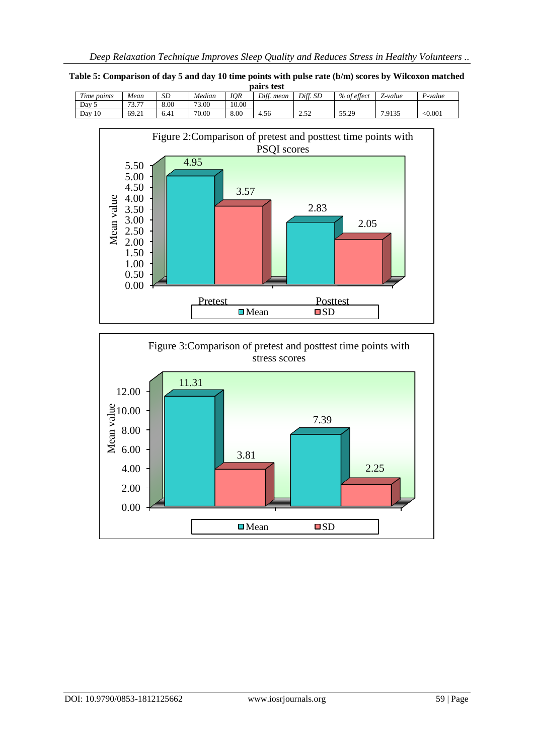| <b>IOR</b><br>Diff. SD<br>Diff.<br>% of effect<br>Time points<br>Median<br>SD<br>$\overline{\phantom{a}}$<br>Mean<br>mean<br>Z-value | P-value |
|--------------------------------------------------------------------------------------------------------------------------------------|---------|
|                                                                                                                                      |         |
| 8.00<br>10.00<br>73.77<br>73.00<br>Dav                                                                                               |         |
| 8.00<br>55.29<br>70.00<br>10<br>7.9135<br>69.21<br>າ ເາ<br>Day<br>6.41<br>4.56<br>ے ب<br>ر ے . د ب                                   | < 0.001 |





**Table 5: Comparison of day 5 and day 10 time points with pulse rate (b/m) scores by Wilcoxon matched pairs test**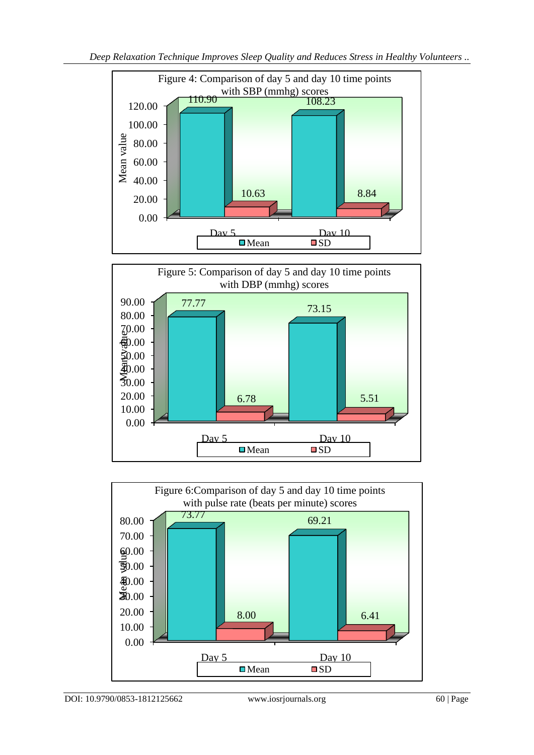



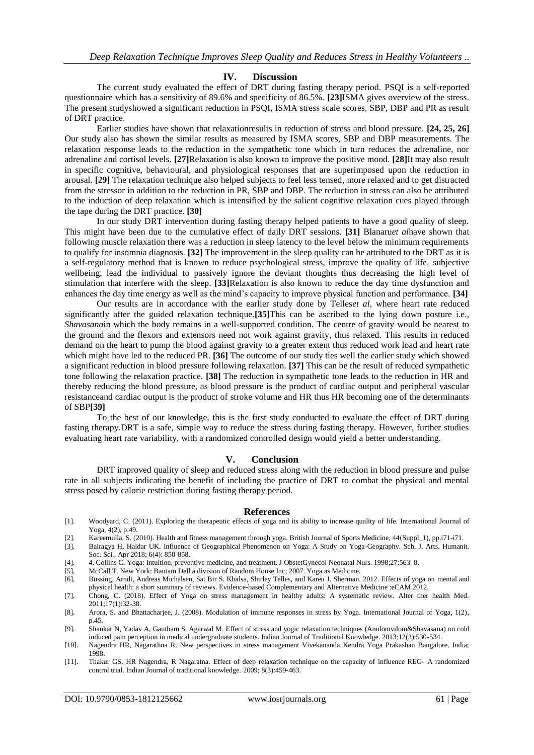#### **IV. Discussion**

The current study evaluated the effect of DRT during fasting therapy period. PSQI is a self-reported questionnaire which has a sensitivity of 89.6% and specificity of 86.5%. **[23]**ISMA gives overview of the stress. The present studyshowed a significant reduction in PSQI, ISMA stress scale scores, SBP, DBP and PR as result of DRT practice.

Earlier studies have shown that relaxationresults in reduction of stress and blood pressure. **[24, 25, 26]** Our study also has shown the similar results as measured by ISMA scores, SBP and DBP measurements. The relaxation response leads to the reduction in the sympathetic tone which in turn reduces the adrenaline, nor adrenaline and cortisol levels. **[27]**Relaxation is also known to improve the positive mood. **[28]**It may also result in specific cognitive, behavioural, and physiological responses that are superimposed upon the reduction in arousal. **[29]** The relaxation technique also helped subjects to feel less tensed, more relaxed and to get distracted from the stressor in addition to the reduction in PR, SBP and DBP. The reduction in stress can also be attributed to the induction of deep relaxation which is intensified by the salient cognitive relaxation cues played through the tape during the DRT practice. **[30]** 

In our study DRT intervention during fasting therapy helped patients to have a good quality of sleep. This might have been due to the cumulative effect of daily DRT sessions. **[31]** Blanaru*et al*have shown that following muscle relaxation there was a reduction in sleep latency to the level below the minimum requirements to qualify for insomnia diagnosis. **[32]** The improvement in the sleep quality can be attributed to the DRT as it is a self-regulatory method that is known to reduce psychological stress, improve the quality of life, subjective wellbeing, lead the individual to passively ignore the deviant thoughts thus decreasing the high level of stimulation that interfere with the sleep. **[33]**Relaxation is also known to reduce the day time dysfunction and enhances the day time energy as well as the mind's capacity to improve physical function and performance. **[34]**

Our results are in accordance with the earlier study done by Telles*et al*, where heart rate reduced significantly after the guided relaxation technique.**[35]**This can be ascribed to the lying down posture i.e., *Shavasana*in which the body remains in a well-supported condition. The centre of gravity would be nearest to the ground and the flexors and extensors need not work against gravity, thus relaxed. This results in reduced demand on the heart to pump the blood against gravity to a greater extent thus reduced work load and heart rate which might have led to the reduced PR. **[36]** The outcome of our study ties well the earlier study which showed a significant reduction in blood pressure following relaxation. **[37]** This can be the result of reduced sympathetic tone following the relaxation practice. **[38]** The reduction in sympathetic tone leads to the reduction in HR and thereby reducing the blood pressure, as blood pressure is the product of cardiac output and peripheral vascular resistanceand cardiac output is the product of stroke volume and HR thus HR becoming one of the determinants of SBP**[39]**

To the best of our knowledge, this is the first study conducted to evaluate the effect of DRT during fasting therapy.DRT is a safe, simple way to reduce the stress during fasting therapy. However, further studies evaluating heart rate variability, with a randomized controlled design would yield a better understanding.

### **V. Conclusion**

DRT improved quality of sleep and reduced stress along with the reduction in blood pressure and pulse rate in all subjects indicating the benefit of including the practice of DRT to combat the physical and mental stress posed by calorie restriction during fasting therapy period.

#### **References**

- [1]. Woodyard, C. (2011). Exploring the therapeutic effects of yoga and its ability to increase quality of life. International Journal of Yoga, 4(2), p.49.
- [2]. Kareemulla, S. (2010). Health and fitness management through yoga. British Journal of Sports Medicine, 44(Suppl\_1), pp.i71-i71.
- [3]. Bairagya H, Haldar UK. Influence of Geographical Phenomenon on Yoga: A Study on Yoga-Geography. Sch. J. Arts. Humanit. Soc. Sci., Apr 2018; 6(4): 850-858.
- [4]. 4. Collins C. Yoga: Intuition, preventive medicine, and treatment. J ObstetGynecol Neonatal Nurs. 1998;27:563–8.

[5]. McCall T. New York: Bantam Dell a division of Random House Inc; 2007. Yoga as Medicine.

- [6]. Büssing, Arndt, Andreas Michalsen, Sat Bir S. Khalsa, Shirley Telles, and Karen J. Sherman. 2012. Effects of yoga on mental and physical health: a short summary of reviews. Evidence-based Complementary and Alternative Medicine :eCAM 2012.
- [7]. Chong, C. (2018). Effect of Yoga on stress management in healthy adults: A systematic review. Alter ther health Med. 2011;17(1):32-38.
- [8]. Arora, S. and Bhattacharjee, J. (2008). Modulation of immune responses in stress by Yoga. International Journal of Yoga, 1(2), p.45.
- [9]. Shankar N, Yadav A, Gautham S, Agarwal M. Effect of stress and yogic relaxation techniques (Anulomvilom&Shavasana) on cold induced pain perception in medical undergraduate students. Indian Journal of Traditional Knowledge. 2013;12(3):530-534.
- [10]. Nagendra HR, Nagarathna R. New perspectives in stress management Vivekananda Kendra Yoga Prakashan Bangalore, India; 1998.
- [11]. Thakur GS, HR Nagendra, R Nagaratna. Effect of deep relaxation technique on the capacity of influence REG- A randomized control trial. Indian Journal of traditional knowledge. 2009; 8(3):459-463.